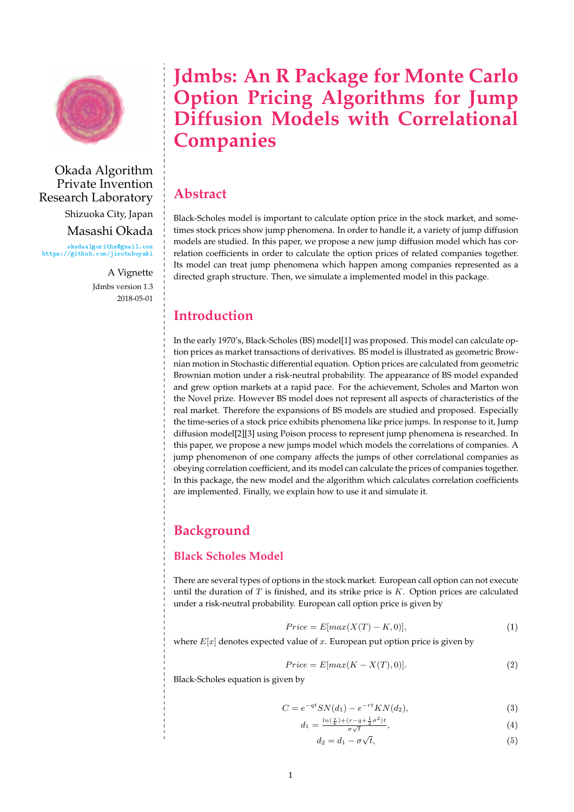

Okada Algorithm Private Invention Research Laboratory Shizuoka City, Japan Masashi Okada [♦❦❛❞❛❛❧❣♦r✐t❤♠❅❣♠❛✐❧✳❝♦♠](okadaalgorithm@gmail.com) [❤tt♣s✿✴✴❣✐t❤✉❜✳❝♦♠✴❥✐r♦t✉❜✉②❛❦✐](https://github.com/jirotubuyaki)

> A Vignette Jdmbs version 1.3 2018-05-01

# **Jdmbs: An R Package for Monte Carlo Option Pricing Algorithms for Jump Diffusion Models with Correlational Companies**

# **Abstract**

Black-Scholes model is important to calculate option price in the stock market, and sometimes stock prices show jump phenomena. In order to handle it, a variety of jump diffusion models are studied. In this paper, we propose a new jump diffusion model which has correlation coefficients in order to calculate the option prices of related companies together. Its model can treat jump phenomena which happen among companies represented as a directed graph structure. Then, we simulate a implemented model in this package.

# **Introduction**

In the early 1970's, Black-Scholes (BS) model[1] was proposed. This model can calculate option prices as market transactions of derivatives. BS model is illustrated as geometric Brownian motion in Stochastic differential equation. Option prices are calculated from geometric Brownian motion under a risk-neutral probability. The appearance of BS model expanded and grew option markets at a rapid pace. For the achievement, Scholes and Marton won the Novel prize. However BS model does not represent all aspects of characteristics of the real market. Therefore the expansions of BS models are studied and proposed. Especially the time-series of a stock price exhibits phenomena like price jumps. In response to it, Jump diffusion model[2][3] using Poison process to represent jump phenomena is researched. In this paper, we propose a new jumps model which models the correlations of companies. A jump phenomenon of one company affects the jumps of other correlational companies as obeying correlation coefficient, and its model can calculate the prices of companies together. In this package, the new model and the algorithm which calculates correlation coefficients are implemented. Finally, we explain how to use it and simulate it.

# **Background**

#### **Black Scholes Model**

There are several types of options in the stock market. European call option can not execute until the duration of  $T$  is finished, and its strike price is  $K$ . Option prices are calculated under a risk-neutral probability. European call option price is given by

$$
Price = E[max(X(T) - K, 0)], \qquad (1)
$$

where  $E[x]$  denotes expected value of x. European put option price is given by

$$
Price = E[max(K - X(T), 0)].
$$
\n(2)

Black-Scholes equation is given by

$$
C = e^{-qt} SN(d_1) - e^{-rt} KN(d_2), \tag{3}
$$

$$
d_1 = \frac{\ln(\frac{s}{k}) + (r - q + \frac{1}{2}\sigma^2)t}{\sigma\sqrt{t}},\tag{4}
$$

$$
d_2 = d_1 - \sigma \sqrt{t},\tag{5}
$$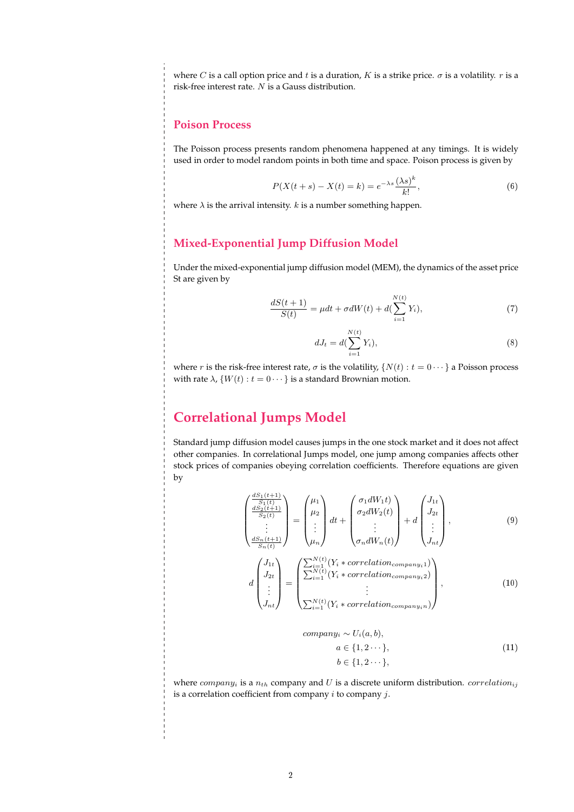where C is a call option price and t is a duration, K is a strike price.  $\sigma$  is a volatility. r is a risk-free interest rate. N is a Gauss distribution.

#### **Poison Process**

The Poisson process presents random phenomena happened at any timings. It is widely used in order to model random points in both time and space. Poison process is given by

$$
P(X(t+s) - X(t) = k) = e^{-\lambda s} \frac{(\lambda s)^k}{k!},
$$
\n(6)

where  $\lambda$  is the arrival intensity.  $k$  is a number something happen.

#### **Mixed-Exponential Jump Diffusion Model**

Under the mixed-exponential jump diffusion model (MEM), the dynamics of the asset price St are given by

$$
\frac{dS(t+1)}{S(t)} = \mu dt + \sigma dW(t) + d(\sum_{i=1}^{N(t)} Y_i),\tag{7}
$$

$$
dJ_t = d(\sum_{i=1}^{N(t)} Y_i),\tag{8}
$$

where r is the risk-free interest rate,  $\sigma$  is the volatility,  $\{N(t): t = 0 \cdots\}$  a Poisson process with rate  $\lambda$ ,  $\{W(t): t = 0 \cdots\}$  is a standard Brownian motion.

### **Correlational Jumps Model**

Standard jump diffusion model causes jumps in the one stock market and it does not affect other companies. In correlational Jumps model, one jump among companies affects other stock prices of companies obeying correlation coefficients. Therefore equations are given by

$$
\begin{pmatrix}\n\frac{dS_1(t+1)}{S_1(t)} \\
\frac{dS_2(t+1)}{S_2(t)} \\
\vdots \\
\frac{dS_n(t+1)}{S_n(t)}\n\end{pmatrix} = \begin{pmatrix}\n\mu_1 \\
\mu_2 \\
\vdots \\
\mu_n\n\end{pmatrix} dt + \begin{pmatrix}\n\sigma_1 dW_1 t \\
\sigma_2 dW_2(t) \\
\vdots \\
\sigma_n dW_n(t)\n\end{pmatrix} + d \begin{pmatrix}\nJ_{1t} \\
J_{2t} \\
\vdots \\
J_{nt}\n\end{pmatrix},
$$
\n(9)

$$
d\begin{pmatrix} J_{1t} \\ J_{2t} \\ \vdots \\ J_{nt} \end{pmatrix} = \begin{pmatrix} \sum_{i=1}^{N(t)} (Y_i * correlation_{company_i 1}) \\ \sum_{i=1}^{N(t)} (Y_i * correlation_{company_i 2}) \\ \vdots \\ \sum_{i=1}^{N(t)} (Y_i * correlation_{company_i n}) \end{pmatrix},
$$
(10)

$$
companyi \sim Ui(a, b),
$$
  
\n
$$
a \in \{1, 2 \cdots\},
$$
  
\n
$$
b \in \{1, 2 \cdots\},
$$
\n(11)

where  $company_i$  is a  $n_{th}$  company and U is a discrete uniform distribution. *correlation*<sub>ii</sub> is a correlation coefficient from company  $i$  to company  $j$ .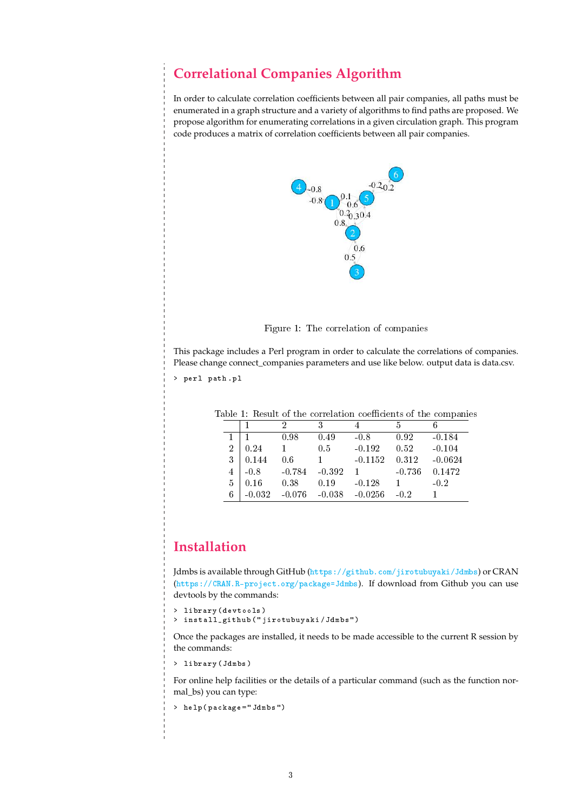### **Correlational Companies Algorithm**

In order to calculate correlation coefficients between all pair companies, all paths must be enumerated in a graph structure and a variety of algorithms to find paths are proposed. We propose algorithm for enumerating correlations in a given circulation graph. This program code produces a matrix of correlation coefficients between all pair companies.



Figure 1: The correlation of companies

This package includes a Perl program in order to calculate the correlations of companies. Please change connect\_companies parameters and use like below. output data is data.csv.

> perl path.pl

| xore 1, recours or the correlation coemercino or the companies |          |          |          |                   |          |           |
|----------------------------------------------------------------|----------|----------|----------|-------------------|----------|-----------|
|                                                                |          |          |          |                   | h        |           |
|                                                                |          | 0.98     | 0.49     | $-0.8$            | 0.92     | $-0.184$  |
| $\overline{2}$                                                 | 0.24     |          | 0.5      | $-0.192$          | 0.52     | $-0.104$  |
| 3                                                              | 0.144    | 0.6      |          | $-0.1152$         | 0.312    | $-0.0624$ |
| 4                                                              | $-0.8$   | $-0.784$ | $-0.392$ |                   | $-0.736$ | 0.1472    |
| 5                                                              | 0.16     | 0.38     | 0.19     | $-0.128$          |          | $-0.2$    |
| 6                                                              | $-0.032$ | $-0.076$ |          | $-0.038 - 0.0256$ | $-0.2$   |           |

Table 1: Result of the correlation coefficients of the companies

# **Installation**

Jdmbs is available through GitHub (https://github.com/jirotubuyaki/Jdmbs) or CRAN (https://CRAN.R-project.org/package=Jdmbs). If download from Github you can use devtools by the commands:

```
> library (devtools)
> install_github("jirotubuyaki/Jdmbs")
```
Once the packages are installed, it needs to be made accessible to the current R session by the commands:

> library (Jdmbs)

For online help facilities or the details of a particular command (such as the function normal\_bs) you can type:

```
> help(package = "Jdmbs")
```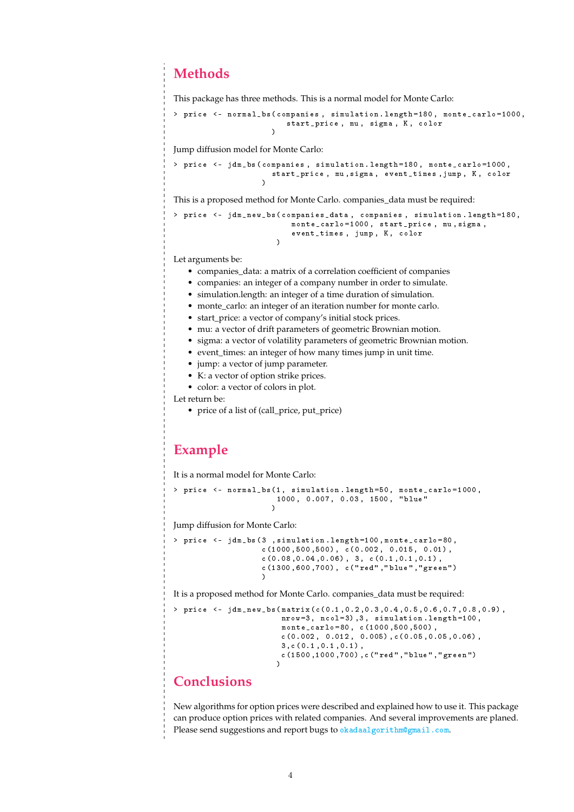# **Methods**

This package has three methods. This is a normal model for Monte Carlo:

```
> price <- normal_bs (companies, simulation.length=180, monte_carlo=1000,
                        start_price, mu, sigma, K, color
                     \lambda
```
Jump diffusion model for Monte Carlo:

```
> price <- jdm_bs(companies, simulation.length=180, monte_carlo=1000,
                    start_price, mu, sigma, event_times, jump, K, color
                  ✮
```
This is a proposed method for Monte Carlo. companies\_data must be required:

```
> price <- jdm_new_bs(companies_data, companies, simulation.length=180,
                         monte_carlo=1000, start_price, mu, sigma,
                         event_times, jump, K, color
                      \lambda
```
Let arguments be:

- companies\_data: a matrix of a correlation coefficient of companies
- companies: an integer of a company number in order to simulate.
- simulation.length: an integer of a time duration of simulation.
- monte\_carlo: an integer of an iteration number for monte carlo.
- start\_price: a vector of company's initial stock prices.
- mu: a vector of drift parameters of geometric Brownian motion.
- sigma: a vector of volatility parameters of geometric Brownian motion.
- event\_times: an integer of how many times jump in unit time.
- jump: a vector of jump parameter.
- K: a vector of option strike prices.
- color: a vector of colors in plot.

Let return be:

• price of a list of (call\_price, put\_price)

#### **Example**

It is a normal model for Monte Carlo:

```
> price <- normal_bs(1, simulation.length=50, monte_carlo=1000,
                      1000, 0.007, 0.03, 1500, "blue"
                     \lambda
```
Jump diffusion for Monte Carlo:

```
> price <- jdm_bs(3 , simulation.length=100, monte_carlo=80,
                   c(1000, 500, 500), c(0.002, 0.015, 0.01),
                   c(0.08, 0.04, 0.06), 3, c(0.1, 0.1, 0.1),c(1300, 600, 700), c("red", "blue", "green")✮
```
It is a proposed method for Monte Carlo. companies\_data must be required:

```
> price <- jdm_new_bs(matrix(c(0.1,0.2,0.3,0.4,0.5,0.6,0.7,0.8,0.9),
                        nrow=3, ncol=3), 3, simulation.length=100,
                        monte_carlo=80, c(1000,500,500),
                        c(0.002, 0.012, 0.005), c(0.05, 0.05, 0.06, 0.06),3, c(0.1, 0.1, 0.1),
                        c(1500, 1000, 700), c("red", "blue", "green")\lambda
```
### **Conclusions**

New algorithms for option prices were described and explained how to use it. This package can produce option prices with related companies. And several improvements are planed. Please send suggestions and report bugs to  $\circ$ kadaalgorithm@gmail.com.